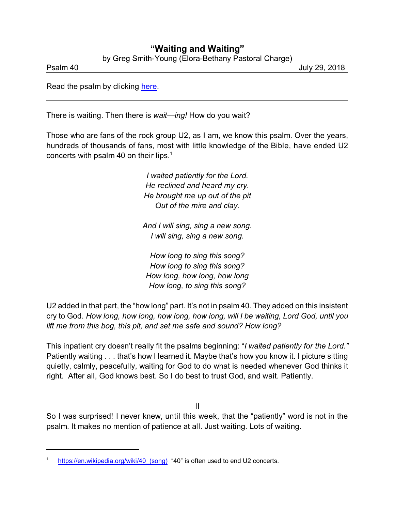## **"Waiting and Waiting"**

by Greg Smith-Young (Elora-Bethany Pastoral Charge)

Psalm 40 July 29, 2018

Read the psalm by clicking [here](https://www.biblegateway.com/passage/?search=Psalm+40&version=NIVUK).

There is waiting. Then there is *wait—ing!* How do you wait?

Those who are fans of the rock group U2, as I am, we know this psalm. Over the years, hundreds of thousands of fans, most with little knowledge of the Bible, have ended U2 concerts with psalm 40 on their lips.<sup>1</sup>

> *I waited patiently for the Lord. He reclined and heard my cry. He brought me up out of the pit Out of the mire and clay.*

*And I will sing, sing a new song. I will sing, sing a new song.*

*How long to sing this song? How long to sing this song? How long, how long, how long How long, to sing this song?*

U2 added in that part, the "how long" part. It's not in psalm 40. They added on this insistent cry to God. *How long, how long, how long, how long, will I be waiting, Lord God, until you lift me from this bog, this pit, and set me safe and sound? How long?*

This inpatient cry doesn't really fit the psalms beginning: "*I waited patiently for the Lord."* Patiently waiting . . . that's how I learned it. Maybe that's how you know it. I picture sitting quietly, calmly, peacefully, waiting for God to do what is needed whenever God thinks it right. After all, God knows best. So I do best to trust God, and wait. Patiently.

II

So I was surprised! I never knew, until this week, that the "patiently" word is not in the psalm. It makes no mention of patience at all. Just waiting. Lots of waiting.

[https://en.wikipedia.org/wiki/40\\_\(song\)](https://en.wikipedia.org/wiki/40_(song)) "40" is often used to end U2 concerts.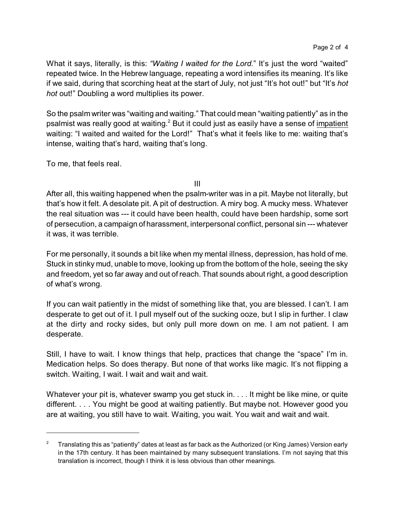What it says, literally, is this: *"Waiting I waited for the Lord.*" It's just the word "waited" repeated twice. In the Hebrew language, repeating a word intensifies its meaning. It's like if we said, during that scorching heat at the start of July, not just "It's hot out!" but "It's *hot hot* out!" Doubling a word multiplies its power.

So the psalm writer was "waiting and waiting." That could mean "waiting patiently" as in the psalmist was really good at waiting.<sup>2</sup> But it could just as easily have a sense of <u>impatient</u> waiting: "I waited and waited for the Lord!" That's what it feels like to me: waiting that's intense, waiting that's hard, waiting that's long.

To me, that feels real.

III

After all, this waiting happened when the psalm-writer was in a pit. Maybe not literally, but that's how it felt. A desolate pit. A pit of destruction. A miry bog. A mucky mess. Whatever the real situation was --- it could have been health, could have been hardship, some sort of persecution, a campaign of harassment, interpersonal conflict, personal sin --- whatever it was, it was terrible.

For me personally, it sounds a bit like when my mental illness, depression, has hold of me. Stuck in stinky mud, unable to move, looking up from the bottom of the hole, seeing the sky and freedom, yet so far away and out of reach. That sounds about right, a good description of what's wrong.

If you can wait patiently in the midst of something like that, you are blessed. I can't. I am desperate to get out of it. I pull myself out of the sucking ooze, but I slip in further. I claw at the dirty and rocky sides, but only pull more down on me. I am not patient. I am desperate.

Still, I have to wait. I know things that help, practices that change the "space" I'm in. Medication helps. So does therapy. But none of that works like magic. It's not flipping a switch. Waiting, I wait. I wait and wait and wait.

Whatever your pit is, whatever swamp you get stuck in. . . . It might be like mine, or quite different. . . . You might be good at waiting patiently. But maybe not. However good you are at waiting, you still have to wait. Waiting, you wait. You wait and wait and wait.

<sup>&</sup>lt;sup>2</sup> Translating this as "patiently" dates at least as far back as the Authorized (or King James) Version early in the 17th century. It has been maintained by many subsequent translations. I'm not saying that this translation is incorrect, though I think it is less obvious than other meanings.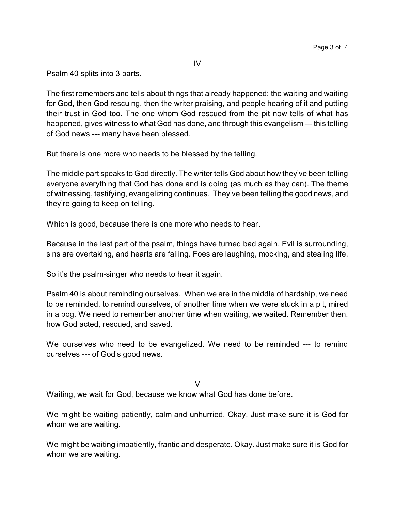IV

Psalm 40 splits into 3 parts.

The first remembers and tells about things that already happened: the waiting and waiting for God, then God rescuing, then the writer praising, and people hearing of it and putting their trust in God too. The one whom God rescued from the pit now tells of what has happened, gives witness to what God has done, and through this evangelism --- this telling of God news --- many have been blessed.

But there is one more who needs to be blessed by the telling.

The middle part speaks to God directly. The writer tells God about how they've been telling everyone everything that God has done and is doing (as much as they can). The theme of witnessing, testifying, evangelizing continues. They've been telling the good news, and they're going to keep on telling.

Which is good, because there is one more who needs to hear.

Because in the last part of the psalm, things have turned bad again. Evil is surrounding, sins are overtaking, and hearts are failing. Foes are laughing, mocking, and stealing life.

So it's the psalm-singer who needs to hear it again.

Psalm 40 is about reminding ourselves. When we are in the middle of hardship, we need to be reminded, to remind ourselves, of another time when we were stuck in a pit, mired in a bog. We need to remember another time when waiting, we waited. Remember then, how God acted, rescued, and saved.

We ourselves who need to be evangelized. We need to be reminded --- to remind ourselves --- of God's good news.

V

Waiting, we wait for God, because we know what God has done before.

We might be waiting patiently, calm and unhurried. Okay. Just make sure it is God for whom we are waiting.

We might be waiting impatiently, frantic and desperate. Okay. Just make sure it is God for whom we are waiting.